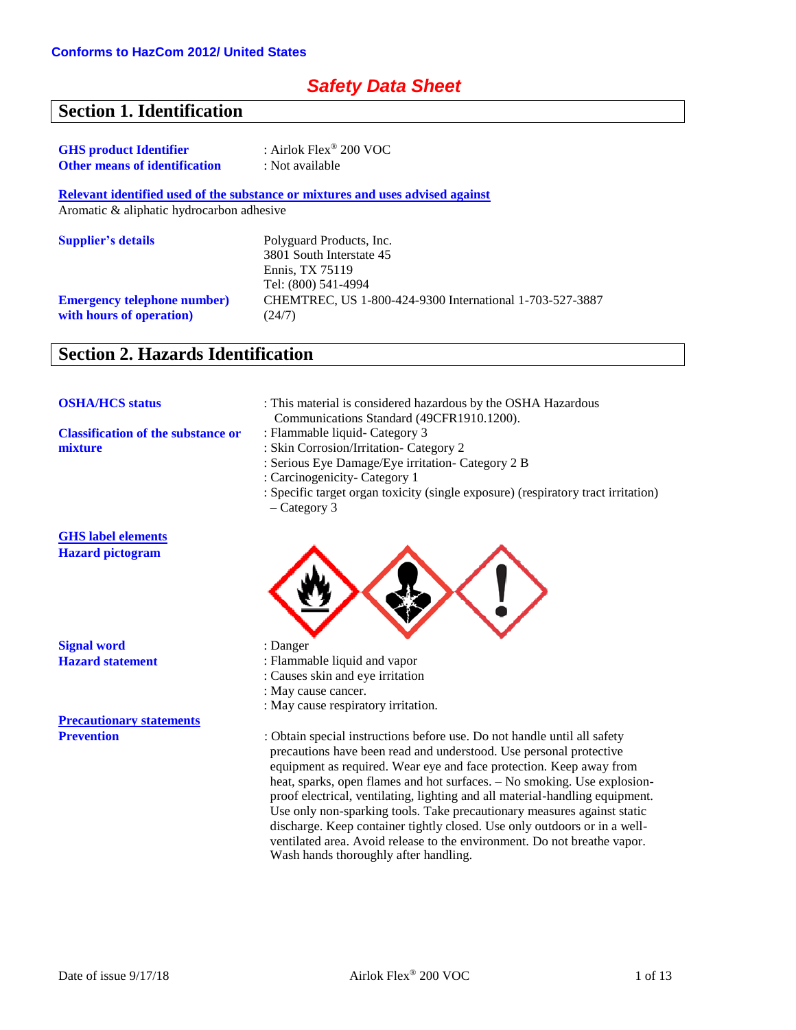## *Safety Data Sheet*

## **Section 1. Identification**

| <b>GHS</b> product Identifier        | : Airlok Flex <sup>®</sup> 200 VOC |
|--------------------------------------|------------------------------------|
| <b>Other means of identification</b> | : Not available                    |

**Relevant identified used of the substance or mixtures and uses advised against**

Aromatic & aliphatic hydrocarbon adhesive

| <b>Supplier's details</b>          | Polyguard Products, Inc.                                 |
|------------------------------------|----------------------------------------------------------|
|                                    | 3801 South Interstate 45                                 |
|                                    | Ennis. TX 75119                                          |
|                                    | Tel: (800) 541-4994                                      |
| <b>Emergency telephone number)</b> | CHEMTREC, US 1-800-424-9300 International 1-703-527-3887 |
| with hours of operation)           | (24/7)                                                   |

# **Section 2. Hazards Identification**

| <b>OSHA/HCS status</b>                    | : This material is considered hazardous by the OSHA Hazardous<br>Communications Standard (49CFR1910.1200). |
|-------------------------------------------|------------------------------------------------------------------------------------------------------------|
| <b>Classification of the substance or</b> | : Flammable liquid - Category 3                                                                            |
| mixture                                   | : Skin Corrosion/Irritation- Category 2                                                                    |
|                                           | : Serious Eye Damage/Eye irritation- Category 2 B                                                          |
|                                           | : Carcinogenicity- Category 1                                                                              |
|                                           | : Specific target organ toxicity (single exposure) (respiratory tract irritation)<br>$-$ Category 3        |
| <b>GHS</b> label elements                 |                                                                                                            |
| <b>Hazard</b> pictogram                   |                                                                                                            |
| <b>Signal word</b>                        | : Danger                                                                                                   |
| <b>Hazard statement</b>                   | : Flammable liquid and vapor                                                                               |
|                                           | : Causes skin and eye irritation                                                                           |

: May cause cancer.

: May cause respiratory irritation.

**Precautionary statements**

**Prevention** : Obtain special instructions before use. Do not handle until all safety precautions have been read and understood. Use personal protective equipment as required. Wear eye and face protection. Keep away from heat, sparks, open flames and hot surfaces. – No smoking. Use explosionproof electrical, ventilating, lighting and all material-handling equipment. Use only non-sparking tools. Take precautionary measures against static discharge. Keep container tightly closed. Use only outdoors or in a wellventilated area. Avoid release to the environment. Do not breathe vapor. Wash hands thoroughly after handling.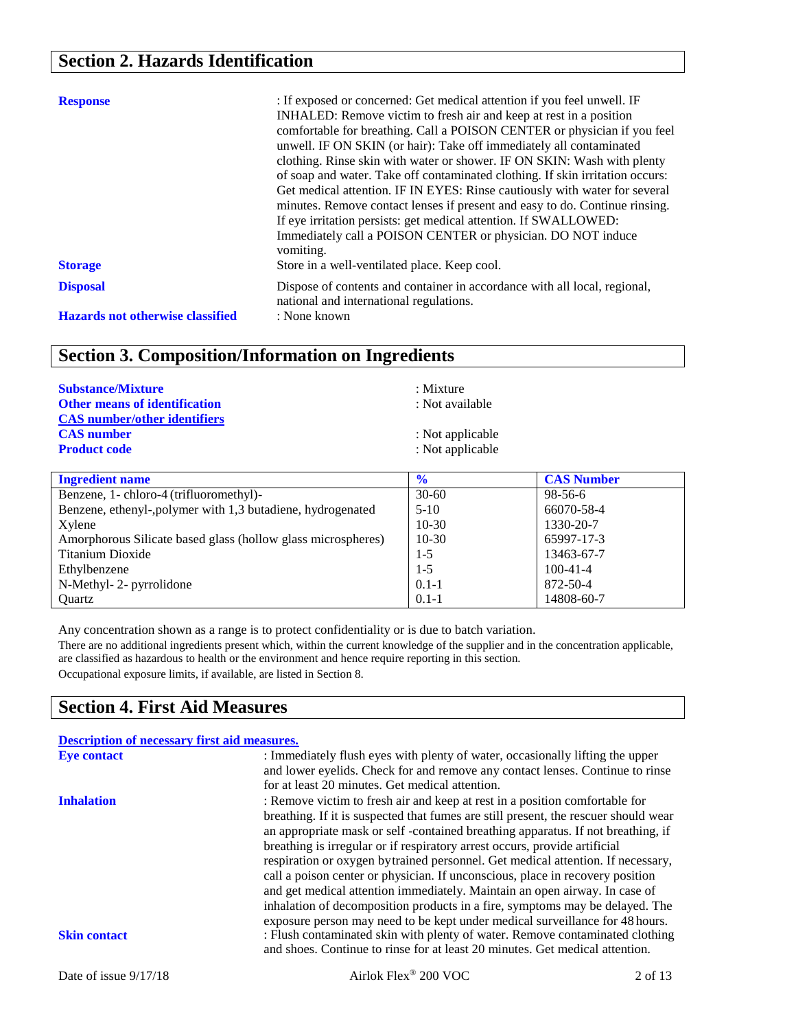# **Section 2. Hazards Identification**

| <b>Response</b><br><b>Storage</b>       | : If exposed or concerned: Get medical attention if you feel unwell. IF<br>INHALED: Remove victim to fresh air and keep at rest in a position<br>comfortable for breathing. Call a POISON CENTER or physician if you feel<br>unwell. IF ON SKIN (or hair): Take off immediately all contaminated<br>clothing. Rinse skin with water or shower. IF ON SKIN: Wash with plenty<br>of soap and water. Take off contaminated clothing. If skin irritation occurs:<br>Get medical attention. IF IN EYES: Rinse cautiously with water for several<br>minutes. Remove contact lenses if present and easy to do. Continue rinsing.<br>If eye irritation persists: get medical attention. If SWALLOWED:<br>Immediately call a POISON CENTER or physician. DO NOT induce<br>vomiting.<br>Store in a well-ventilated place. Keep cool. |
|-----------------------------------------|----------------------------------------------------------------------------------------------------------------------------------------------------------------------------------------------------------------------------------------------------------------------------------------------------------------------------------------------------------------------------------------------------------------------------------------------------------------------------------------------------------------------------------------------------------------------------------------------------------------------------------------------------------------------------------------------------------------------------------------------------------------------------------------------------------------------------|
| <b>Disposal</b>                         | Dispose of contents and container in accordance with all local, regional,<br>national and international regulations.                                                                                                                                                                                                                                                                                                                                                                                                                                                                                                                                                                                                                                                                                                       |
| <b>Hazards not otherwise classified</b> | : None known                                                                                                                                                                                                                                                                                                                                                                                                                                                                                                                                                                                                                                                                                                                                                                                                               |

# **Section 3. Composition/Information on Ingredients**

| <b>Substance/Mixture</b><br><b>Other means of identification</b>                | : Mixture<br>: Not available<br>: Not applicable<br>: Not applicable |                   |
|---------------------------------------------------------------------------------|----------------------------------------------------------------------|-------------------|
| <b>CAS</b> number/other identifiers<br><b>CAS</b> number<br><b>Product code</b> |                                                                      |                   |
| <b>Ingredient name</b>                                                          | $\frac{6}{6}$                                                        | <b>CAS Number</b> |
| $P_1 = 111447P_1 = 111$                                                         | 20 f                                                                 | $00 \leq t \leq$  |

| Ingredient name                                              | $\mathcal{V}$ o | <b>CAS Number</b> |
|--------------------------------------------------------------|-----------------|-------------------|
| Benzene, 1- chloro-4 (trifluoromethyl)-                      | $30 - 60$       | 98-56-6           |
| Benzene, ethenyl-, polymer with 1,3 butadiene, hydrogenated  | $5-10$          | 66070-58-4        |
| Xylene                                                       | $10-30$         | 1330-20-7         |
| Amorphorous Silicate based glass (hollow glass microspheres) | $10-30$         | 65997-17-3        |
| Titanium Dioxide                                             | $1 - 5$         | 13463-67-7        |
| Ethylbenzene                                                 | $1-5$           | $100 - 41 - 4$    |
| N-Methyl-2- pyrrolidone                                      | $0.1 - 1$       | 872-50-4          |
| Ouartz                                                       | $0.1 - 1$       | 14808-60-7        |

Any concentration shown as a range is to protect confidentiality or is due to batch variation.

There are no additional ingredients present which, within the current knowledge of the supplier and in the concentration applicable, are classified as hazardous to health or the environment and hence require reporting in this section. Occupational exposure limits, if available, are listed in Section 8.

### **Section 4. First Aid Measures**

| <b>Description of necessary first aid measures.</b> |                                                                                                                                                              |         |
|-----------------------------------------------------|--------------------------------------------------------------------------------------------------------------------------------------------------------------|---------|
| <b>Eye contact</b>                                  | : Immediately flush eyes with plenty of water, occasionally lifting the upper                                                                                |         |
|                                                     | and lower eyelids. Check for and remove any contact lenses. Continue to rinse                                                                                |         |
|                                                     | for at least 20 minutes. Get medical attention.                                                                                                              |         |
| <b>Inhalation</b>                                   | : Remove victim to fresh air and keep at rest in a position comfortable for                                                                                  |         |
|                                                     | breathing. If it is suspected that fumes are still present, the rescuer should wear                                                                          |         |
|                                                     | an appropriate mask or self-contained breathing apparatus. If not breathing, if                                                                              |         |
|                                                     | breathing is irregular or if respiratory arrest occurs, provide artificial                                                                                   |         |
|                                                     | respiration or oxygen by trained personnel. Get medical attention. If necessary,                                                                             |         |
|                                                     | call a poison center or physician. If unconscious, place in recovery position                                                                                |         |
|                                                     | and get medical attention immediately. Maintain an open airway. In case of                                                                                   |         |
|                                                     | inhalation of decomposition products in a fire, symptoms may be delayed. The                                                                                 |         |
|                                                     | exposure person may need to be kept under medical surveillance for 48 hours.                                                                                 |         |
| <b>Skin contact</b>                                 | : Flush contaminated skin with plenty of water. Remove contaminated clothing<br>and shoes. Continue to rinse for at least 20 minutes. Get medical attention. |         |
| Date of issue $9/17/18$                             | Airlok Flex® 200 VOC                                                                                                                                         | 2 of 13 |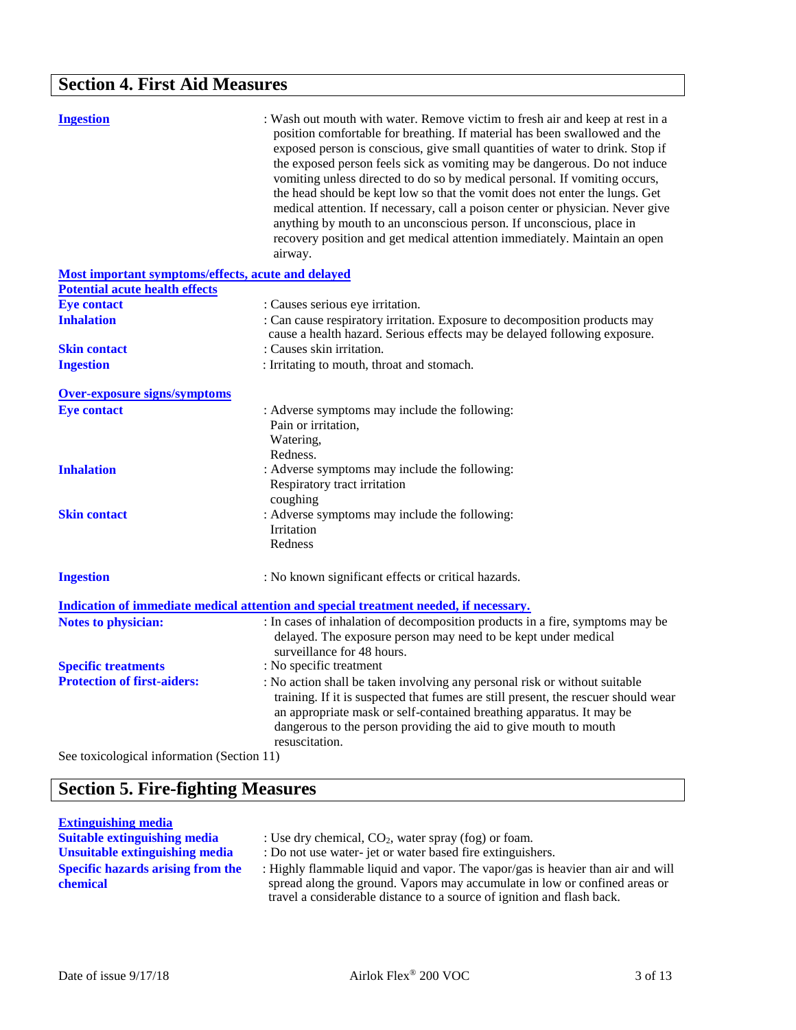# **Section 4. First Aid Measures**

| <b>Ingestion</b>                                                                 | : Wash out mouth with water. Remove victim to fresh air and keep at rest in a<br>position comfortable for breathing. If material has been swallowed and the<br>exposed person is conscious, give small quantities of water to drink. Stop if<br>the exposed person feels sick as vomiting may be dangerous. Do not induce<br>vomiting unless directed to do so by medical personal. If vomiting occurs,<br>the head should be kept low so that the vomit does not enter the lungs. Get<br>medical attention. If necessary, call a poison center or physician. Never give<br>anything by mouth to an unconscious person. If unconscious, place in<br>recovery position and get medical attention immediately. Maintain an open<br>airway. |
|----------------------------------------------------------------------------------|------------------------------------------------------------------------------------------------------------------------------------------------------------------------------------------------------------------------------------------------------------------------------------------------------------------------------------------------------------------------------------------------------------------------------------------------------------------------------------------------------------------------------------------------------------------------------------------------------------------------------------------------------------------------------------------------------------------------------------------|
| <b>Most important symptoms/effects, acute and delayed</b>                        |                                                                                                                                                                                                                                                                                                                                                                                                                                                                                                                                                                                                                                                                                                                                          |
| <b>Potential acute health effects</b>                                            |                                                                                                                                                                                                                                                                                                                                                                                                                                                                                                                                                                                                                                                                                                                                          |
| <b>Eye contact</b>                                                               | : Causes serious eye irritation.                                                                                                                                                                                                                                                                                                                                                                                                                                                                                                                                                                                                                                                                                                         |
| <b>Inhalation</b>                                                                | : Can cause respiratory irritation. Exposure to decomposition products may<br>cause a health hazard. Serious effects may be delayed following exposure.                                                                                                                                                                                                                                                                                                                                                                                                                                                                                                                                                                                  |
| <b>Skin contact</b>                                                              | : Causes skin irritation.                                                                                                                                                                                                                                                                                                                                                                                                                                                                                                                                                                                                                                                                                                                |
| <b>Ingestion</b>                                                                 | : Irritating to mouth, throat and stomach.                                                                                                                                                                                                                                                                                                                                                                                                                                                                                                                                                                                                                                                                                               |
| <b>Over-exposure signs/symptoms</b>                                              |                                                                                                                                                                                                                                                                                                                                                                                                                                                                                                                                                                                                                                                                                                                                          |
| <b>Eye contact</b>                                                               | : Adverse symptoms may include the following:<br>Pain or irritation,<br>Watering,<br>Redness.                                                                                                                                                                                                                                                                                                                                                                                                                                                                                                                                                                                                                                            |
| <b>Inhalation</b>                                                                | : Adverse symptoms may include the following:<br>Respiratory tract irritation<br>coughing                                                                                                                                                                                                                                                                                                                                                                                                                                                                                                                                                                                                                                                |
| <b>Skin contact</b>                                                              | : Adverse symptoms may include the following:<br><b>Irritation</b><br>Redness                                                                                                                                                                                                                                                                                                                                                                                                                                                                                                                                                                                                                                                            |
| <b>Ingestion</b>                                                                 | : No known significant effects or critical hazards.                                                                                                                                                                                                                                                                                                                                                                                                                                                                                                                                                                                                                                                                                      |
|                                                                                  | Indication of immediate medical attention and special treatment needed, if necessary.                                                                                                                                                                                                                                                                                                                                                                                                                                                                                                                                                                                                                                                    |
| <b>Notes to physician:</b>                                                       | : In cases of inhalation of decomposition products in a fire, symptoms may be<br>delayed. The exposure person may need to be kept under medical<br>surveillance for 48 hours.                                                                                                                                                                                                                                                                                                                                                                                                                                                                                                                                                            |
| <b>Specific treatments</b>                                                       | : No specific treatment                                                                                                                                                                                                                                                                                                                                                                                                                                                                                                                                                                                                                                                                                                                  |
| <b>Protection of first-aiders:</b><br>See toxicological information (Section 11) | : No action shall be taken involving any personal risk or without suitable<br>training. If it is suspected that fumes are still present, the rescuer should wear<br>an appropriate mask or self-contained breathing apparatus. It may be<br>dangerous to the person providing the aid to give mouth to mouth<br>resuscitation.                                                                                                                                                                                                                                                                                                                                                                                                           |
|                                                                                  |                                                                                                                                                                                                                                                                                                                                                                                                                                                                                                                                                                                                                                                                                                                                          |

# **Section 5. Fire-fighting Measures**

**Extinguishing media Suitable extinguishing media** : Use dry chemical, CO<sub>2</sub>, water spray (fog) or foam.<br> **Unsuitable extinguishing media** : Do not use water-jet or water based fire extinguish **Specific hazards arising from the chemical**

: Do not use water- jet or water based fire extinguishers.

: Highly flammable liquid and vapor. The vapor/gas is heavier than air and will spread along the ground. Vapors may accumulate in low or confined areas or travel a considerable distance to a source of ignition and flash back.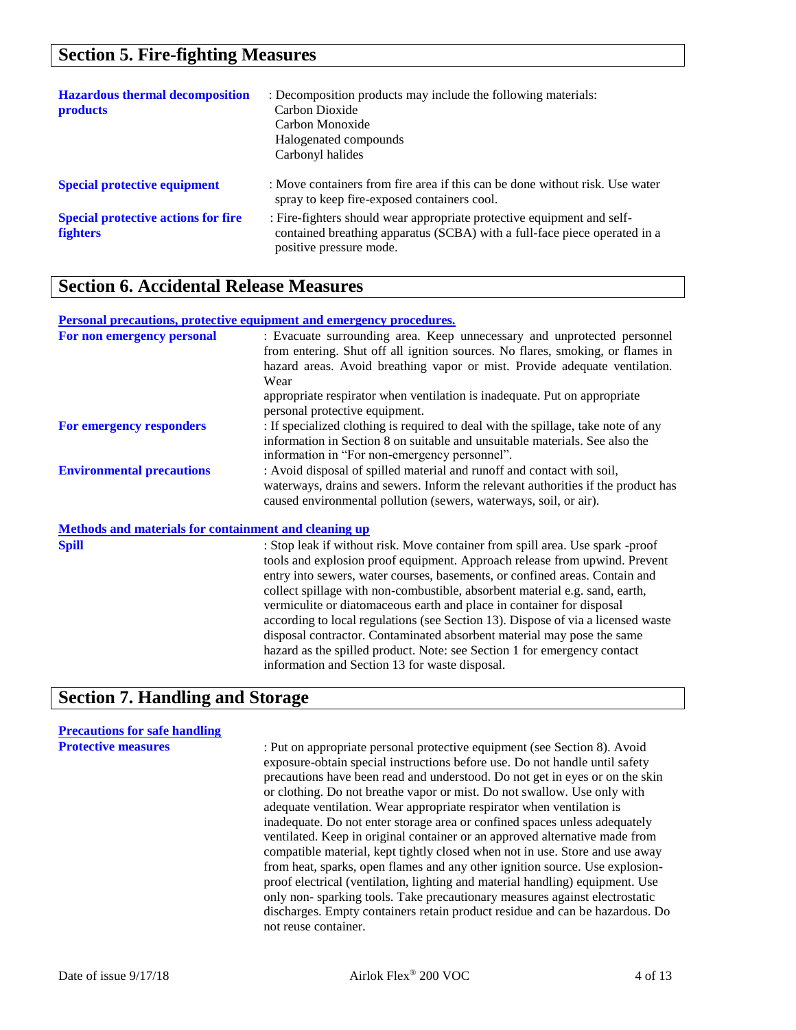### **Section 5. Fire-fighting Measures**

| <b>Hazardous thermal decomposition</b><br><b>products</b>     | : Decomposition products may include the following materials:<br>Carbon Dioxide<br>Carbon Monoxide<br>Halogenated compounds<br>Carbonyl halides                                |
|---------------------------------------------------------------|--------------------------------------------------------------------------------------------------------------------------------------------------------------------------------|
| <b>Special protective equipment</b>                           | : Move containers from fire area if this can be done without risk. Use water<br>spray to keep fire-exposed containers cool.                                                    |
| <b>Special protective actions for fire</b><br><b>fighters</b> | : Fire-fighters should wear appropriate protective equipment and self-<br>contained breathing apparatus (SCBA) with a full-face piece operated in a<br>positive pressure mode. |

### **Section 6. Accidental Release Measures**

#### **Personal precautions, protective equipment and emergency procedures.**

| For non emergency personal                                   | : Evacuate surrounding area. Keep unnecessary and unprotected personnel                                                      |
|--------------------------------------------------------------|------------------------------------------------------------------------------------------------------------------------------|
|                                                              | from entering. Shut off all ignition sources. No flares, smoking, or flames in                                               |
|                                                              | hazard areas. Avoid breathing vapor or mist. Provide adequate ventilation.                                                   |
|                                                              | Wear                                                                                                                         |
|                                                              | appropriate respirator when ventilation is inadequate. Put on appropriate<br>personal protective equipment.                  |
| For emergency responders                                     | : If specialized clothing is required to deal with the spillage, take note of any                                            |
|                                                              | information in Section 8 on suitable and unsuitable materials. See also the<br>information in "For non-emergency personnel". |
| <b>Environmental precautions</b>                             | : Avoid disposal of spilled material and runoff and contact with soil,                                                       |
|                                                              | waterways, drains and sewers. Inform the relevant authorities if the product has                                             |
|                                                              | caused environmental pollution (sewers, waterways, soil, or air).                                                            |
| <b>Methods and materials for containment and cleaning up</b> |                                                                                                                              |
| <b>Spill</b>                                                 | : Stop leak if without risk. Move container from spill area. Use spark -proof                                                |
|                                                              | tools and explosion proof equipment. Approach release from upwind. Prevent                                                   |
|                                                              | entry into sewers, water courses, basements, or confined areas. Contain and                                                  |
|                                                              | collect spillage with non-combustible, absorbent material e.g. sand, earth,                                                  |
|                                                              | vermiculite or diatomaceous earth and place in container for disposal                                                        |
|                                                              | according to local regulations (see Section 13). Dispose of via a licensed waste                                             |
|                                                              | disposal contractor. Contaminated absorbent material may pose the same                                                       |
|                                                              | hazard as the spilled product. Note: see Section 1 for emergency contact                                                     |

information and Section 13 for waste disposal.

# **Section 7. Handling and Storage**

# **Precautions for safe handling**

**Protective measures** : Put on appropriate personal protective equipment (see Section 8). Avoid exposure-obtain special instructions before use. Do not handle until safety precautions have been read and understood. Do not get in eyes or on the skin or clothing. Do not breathe vapor or mist. Do not swallow. Use only with adequate ventilation. Wear appropriate respirator when ventilation is inadequate. Do not enter storage area or confined spaces unless adequately ventilated. Keep in original container or an approved alternative made from compatible material, kept tightly closed when not in use. Store and use away from heat, sparks, open flames and any other ignition source. Use explosionproof electrical (ventilation, lighting and material handling) equipment. Use only non- sparking tools. Take precautionary measures against electrostatic discharges. Empty containers retain product residue and can be hazardous. Do not reuse container.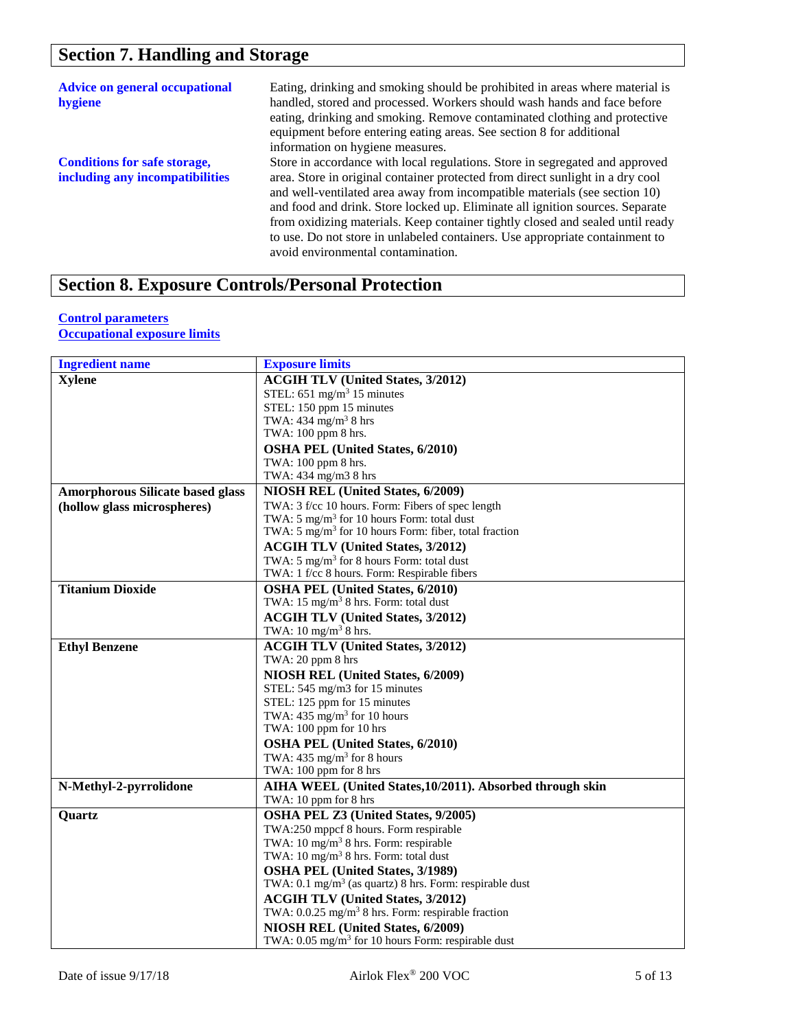# **Section 7. Handling and Storage**

| <b>Advice on general occupational</b><br>hygiene                       | Eating, drinking and smoking should be prohibited in areas where material is<br>handled, stored and processed. Workers should wash hands and face before<br>eating, drinking and smoking. Remove contaminated clothing and protective<br>equipment before entering eating areas. See section 8 for additional<br>information on hygiene measures.                                                                                                                                                                                     |
|------------------------------------------------------------------------|---------------------------------------------------------------------------------------------------------------------------------------------------------------------------------------------------------------------------------------------------------------------------------------------------------------------------------------------------------------------------------------------------------------------------------------------------------------------------------------------------------------------------------------|
| <b>Conditions for safe storage,</b><br>including any incompatibilities | Store in accordance with local regulations. Store in segregated and approved<br>area. Store in original container protected from direct sunlight in a dry cool<br>and well-ventilated area away from incompatible materials (see section 10)<br>and food and drink. Store locked up. Eliminate all ignition sources. Separate<br>from oxidizing materials. Keep container tightly closed and sealed until ready<br>to use. Do not store in unlabeled containers. Use appropriate containment to<br>avoid environmental contamination. |

# **Section 8. Exposure Controls/Personal Protection**

#### **Control parameters**

**Occupational exposure limits**

| <b>Ingredient name</b>                  | <b>Exposure limits</b>                                             |
|-----------------------------------------|--------------------------------------------------------------------|
| <b>Xylene</b>                           | <b>ACGIH TLV (United States, 3/2012)</b>                           |
|                                         | STEL: $651 \text{ mg/m}^3$ 15 minutes                              |
|                                         | STEL: 150 ppm 15 minutes                                           |
|                                         | TWA: $434$ mg/m <sup>3</sup> 8 hrs                                 |
|                                         | TWA: 100 ppm 8 hrs.                                                |
|                                         | <b>OSHA PEL (United States, 6/2010)</b>                            |
|                                         | TWA: 100 ppm 8 hrs.                                                |
|                                         | TWA: 434 mg/m3 8 hrs                                               |
| <b>Amorphorous Silicate based glass</b> | NIOSH REL (United States, 6/2009)                                  |
| (hollow glass microspheres)             | TWA: 3 f/cc 10 hours. Form: Fibers of spec length                  |
|                                         | TWA: $5 \text{ mg/m}^3$ for 10 hours Form: total dust              |
|                                         | TWA: $5 \text{ mg/m}^3$ for 10 hours Form: fiber, total fraction   |
|                                         | <b>ACGIH TLV (United States, 3/2012)</b>                           |
|                                         | TWA: $5 \text{ mg/m}^3$ for 8 hours Form: total dust               |
|                                         | TWA: 1 f/cc 8 hours. Form: Respirable fibers                       |
| <b>Titanium Dioxide</b>                 | <b>OSHA PEL (United States, 6/2010)</b>                            |
|                                         | TWA: $15 \text{ mg/m}^3$ 8 hrs. Form: total dust                   |
|                                         | <b>ACGIH TLV (United States, 3/2012)</b>                           |
|                                         | TWA: $10 \text{ mg/m}^3$ 8 hrs.                                    |
| <b>Ethyl Benzene</b>                    | <b>ACGIH TLV (United States, 3/2012)</b>                           |
|                                         | TWA: 20 ppm 8 hrs                                                  |
|                                         | NIOSH REL (United States, 6/2009)                                  |
|                                         | STEL: 545 mg/m3 for 15 minutes                                     |
|                                         | STEL: 125 ppm for 15 minutes                                       |
|                                         | TWA: $435 \text{ mg/m}^3$ for 10 hours                             |
|                                         | TWA: 100 ppm for 10 hrs                                            |
|                                         | <b>OSHA PEL (United States, 6/2010)</b>                            |
|                                         | TWA: $435 \text{ mg/m}^3$ for 8 hours                              |
|                                         | TWA: 100 ppm for 8 hrs                                             |
| N-Methyl-2-pyrrolidone                  | AIHA WEEL (United States, 10/2011). Absorbed through skin          |
|                                         | TWA: 10 ppm for 8 hrs                                              |
| <b>Quartz</b>                           | OSHA PEL Z3 (United States, 9/2005)                                |
|                                         | TWA:250 mppcf 8 hours. Form respirable                             |
|                                         | TWA: $10 \text{ mg/m}^3$ 8 hrs. Form: respirable                   |
|                                         | TWA: 10 mg/m <sup>3</sup> 8 hrs. Form: total dust                  |
|                                         | <b>OSHA PEL (United States, 3/1989)</b>                            |
|                                         | TWA: $0.1 \text{ mg/m}^3$ (as quartz) 8 hrs. Form: respirable dust |
|                                         | <b>ACGIH TLV (United States, 3/2012)</b>                           |
|                                         | TWA: 0.0.25 mg/m <sup>3</sup> 8 hrs. Form: respirable fraction     |
|                                         | NIOSH REL (United States, 6/2009)                                  |
|                                         | TWA: $0.05 \text{ mg/m}^3$ for 10 hours Form: respirable dust      |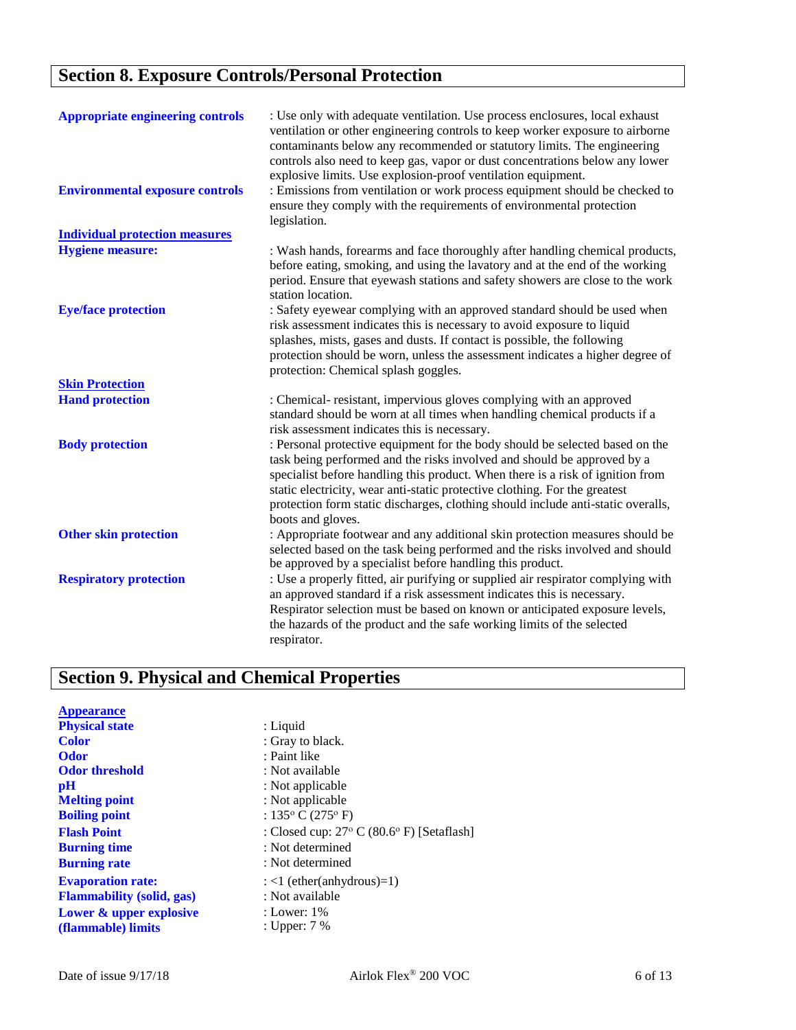# **Section 8. Exposure Controls/Personal Protection**

| <b>Appropriate engineering controls</b><br><b>Environmental exposure controls</b> | : Use only with adequate ventilation. Use process enclosures, local exhaust<br>ventilation or other engineering controls to keep worker exposure to airborne<br>contaminants below any recommended or statutory limits. The engineering<br>controls also need to keep gas, vapor or dust concentrations below any lower<br>explosive limits. Use explosion-proof ventilation equipment.<br>: Emissions from ventilation or work process equipment should be checked to<br>ensure they comply with the requirements of environmental protection |
|-----------------------------------------------------------------------------------|------------------------------------------------------------------------------------------------------------------------------------------------------------------------------------------------------------------------------------------------------------------------------------------------------------------------------------------------------------------------------------------------------------------------------------------------------------------------------------------------------------------------------------------------|
| <b>Individual protection measures</b>                                             | legislation.                                                                                                                                                                                                                                                                                                                                                                                                                                                                                                                                   |
| <b>Hygiene measure:</b>                                                           | : Wash hands, forearms and face thoroughly after handling chemical products,<br>before eating, smoking, and using the lavatory and at the end of the working<br>period. Ensure that eyewash stations and safety showers are close to the work<br>station location.                                                                                                                                                                                                                                                                             |
| <b>Eye/face protection</b>                                                        | : Safety eyewear complying with an approved standard should be used when<br>risk assessment indicates this is necessary to avoid exposure to liquid<br>splashes, mists, gases and dusts. If contact is possible, the following<br>protection should be worn, unless the assessment indicates a higher degree of<br>protection: Chemical splash goggles.                                                                                                                                                                                        |
| <b>Skin Protection</b>                                                            |                                                                                                                                                                                                                                                                                                                                                                                                                                                                                                                                                |
| <b>Hand protection</b>                                                            | : Chemical-resistant, impervious gloves complying with an approved<br>standard should be worn at all times when handling chemical products if a<br>risk assessment indicates this is necessary.                                                                                                                                                                                                                                                                                                                                                |
| <b>Body protection</b>                                                            | : Personal protective equipment for the body should be selected based on the<br>task being performed and the risks involved and should be approved by a<br>specialist before handling this product. When there is a risk of ignition from<br>static electricity, wear anti-static protective clothing. For the greatest<br>protection form static discharges, clothing should include anti-static overalls,<br>boots and gloves.                                                                                                               |
| <b>Other skin protection</b>                                                      | : Appropriate footwear and any additional skin protection measures should be<br>selected based on the task being performed and the risks involved and should<br>be approved by a specialist before handling this product.                                                                                                                                                                                                                                                                                                                      |
| <b>Respiratory protection</b>                                                     | : Use a properly fitted, air purifying or supplied air respirator complying with<br>an approved standard if a risk assessment indicates this is necessary.<br>Respirator selection must be based on known or anticipated exposure levels,<br>the hazards of the product and the safe working limits of the selected<br>respirator.                                                                                                                                                                                                             |

# **Section 9. Physical and Chemical Properties**

| <b>Appearance</b>                |                                                              |
|----------------------------------|--------------------------------------------------------------|
| <b>Physical state</b>            | $:$ Liquid                                                   |
| <b>Color</b>                     | : Gray to black.                                             |
| <b>Odor</b>                      | : Paint like                                                 |
| <b>Odor threshold</b>            | : Not available                                              |
| pH                               | : Not applicable                                             |
| <b>Melting point</b>             | : Not applicable                                             |
| <b>Boiling point</b>             | : 135 $\rm{^{\circ}}$ C (275 $\rm{^{\circ}}$ F)              |
| <b>Flash Point</b>               | : Closed cup: $27^{\circ}$ C (80.6 $^{\circ}$ F) [Setaflash] |
| <b>Burning time</b>              | : Not determined                                             |
| <b>Burning rate</b>              | : Not determined                                             |
| <b>Evaporation rate:</b>         | $:$ <1 (ether(anhydrous)=1)                                  |
| <b>Flammability (solid, gas)</b> | : Not available                                              |
| Lower & upper explosive          | : Lower: 1%                                                  |
| (flammable) limits               | : Upper: $7\%$                                               |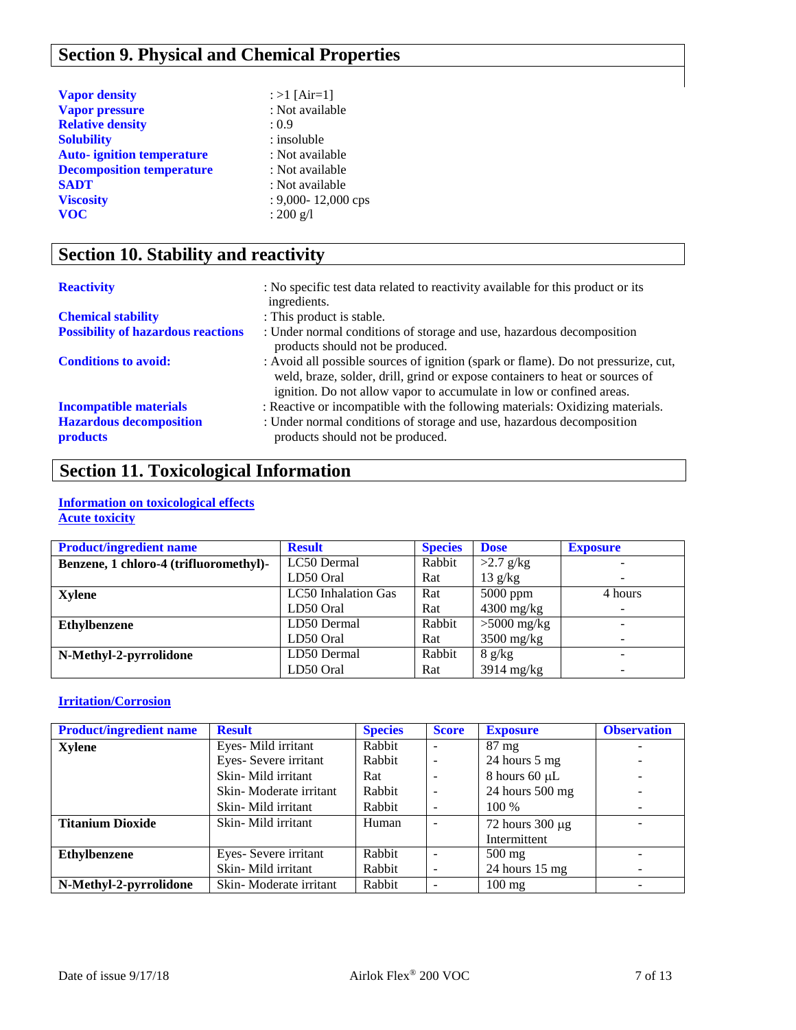# **Section 9. Physical and Chemical Properties**

| <b>Vapor density</b>              | : >1 [Air=1]           |
|-----------------------------------|------------------------|
| <b>Vapor pressure</b>             | : Not available        |
| <b>Relative density</b>           | : 0.9                  |
| <b>Solubility</b>                 | : insoluble            |
| <b>Auto-</b> ignition temperature | : Not available        |
| <b>Decomposition temperature</b>  | : Not available        |
| <b>SADT</b>                       | : Not available        |
| <b>Viscosity</b>                  | $: 9,000 - 12,000$ cps |
| <b>VOC</b>                        | : $200 \text{ g/l}$    |

# **Section 10. Stability and reactivity**

| <b>Reactivity</b>                                 | : No specific test data related to reactivity available for this product or its<br>ingredients.                                                                                                                                            |
|---------------------------------------------------|--------------------------------------------------------------------------------------------------------------------------------------------------------------------------------------------------------------------------------------------|
| <b>Chemical stability</b>                         | : This product is stable.                                                                                                                                                                                                                  |
| <b>Possibility of hazardous reactions</b>         | : Under normal conditions of storage and use, hazardous decomposition<br>products should not be produced.                                                                                                                                  |
| <b>Conditions to avoid:</b>                       | : Avoid all possible sources of ignition (spark or flame). Do not pressurize, cut,<br>weld, braze, solder, drill, grind or expose containers to heat or sources of<br>ignition. Do not allow vapor to accumulate in low or confined areas. |
| <b>Incompatible materials</b>                     | : Reactive or incompatible with the following materials: Oxidizing materials.                                                                                                                                                              |
| <b>Hazardous decomposition</b><br><b>products</b> | : Under normal conditions of storage and use, hazardous decomposition<br>products should not be produced.                                                                                                                                  |

# **Section 11. Toxicological Information**

#### **Information on toxicological effects Acute toxicity**

| <b>Product/ingredient name</b>         | <b>Result</b>              | <b>Species</b> | <b>Dose</b>   | <b>Exposure</b>          |
|----------------------------------------|----------------------------|----------------|---------------|--------------------------|
| Benzene, 1 chloro-4 (trifluoromethyl)- | LC50 Dermal                | Rabbit         | $>2.7$ g/kg   |                          |
|                                        | LD50 Oral                  | Rat            | 13 g/kg       | $\overline{\phantom{0}}$ |
| Xylene                                 | <b>LC50</b> Inhalation Gas | Rat            | $5000$ ppm    | 4 hours                  |
|                                        | LD50 Oral                  | Rat            | $4300$ mg/kg  | $\sim$                   |
| <b>Ethylbenzene</b>                    | LD50 Dermal                | Rabbit         | $>5000$ mg/kg | -                        |
|                                        | LD50 Oral                  | Rat            | $3500$ mg/kg  | -                        |
| N-Methyl-2-pyrrolidone                 | LD50 Dermal                | Rabbit         | 8 g/kg        |                          |
|                                        | LD50 Oral                  | Rat            | $3914$ mg/kg  |                          |

### **Irritation/Corrosion**

| <b>Product/ingredient name</b> | <b>Result</b>          | <b>Species</b> | <b>Score</b> | <b>Exposure</b>          | <b>Observation</b> |
|--------------------------------|------------------------|----------------|--------------|--------------------------|--------------------|
| <b>Xylene</b>                  | Eyes-Mild irritant     | Rabbit         |              | $87 \text{ mg}$          |                    |
|                                | Eyes- Severe irritant  | Rabbit         |              | 24 hours 5 mg            |                    |
|                                | Skin-Mild irritant     | Rat            | -            | 8 hours 60 $\mu$ L       |                    |
|                                | Skin-Moderate irritant | Rabbit         | ٠            | 24 hours $500$ mg        |                    |
|                                | Skin-Mild irritant     | Rabbit         |              | 100 %                    |                    |
| <b>Titanium Dioxide</b>        | Skin-Mild irritant     | Human          |              | 72 hours $300 \mu g$     |                    |
|                                |                        |                |              | Intermittent             |                    |
| <b>Ethylbenzene</b>            | Eyes- Severe irritant  | Rabbit         |              | $500 \text{ mg}$         |                    |
|                                | Skin-Mild irritant     | Rabbit         | -            | 24 hours $15 \text{ mg}$ |                    |
| N-Methyl-2-pyrrolidone         | Skin-Moderate irritant | Rabbit         |              | $100 \text{ mg}$         |                    |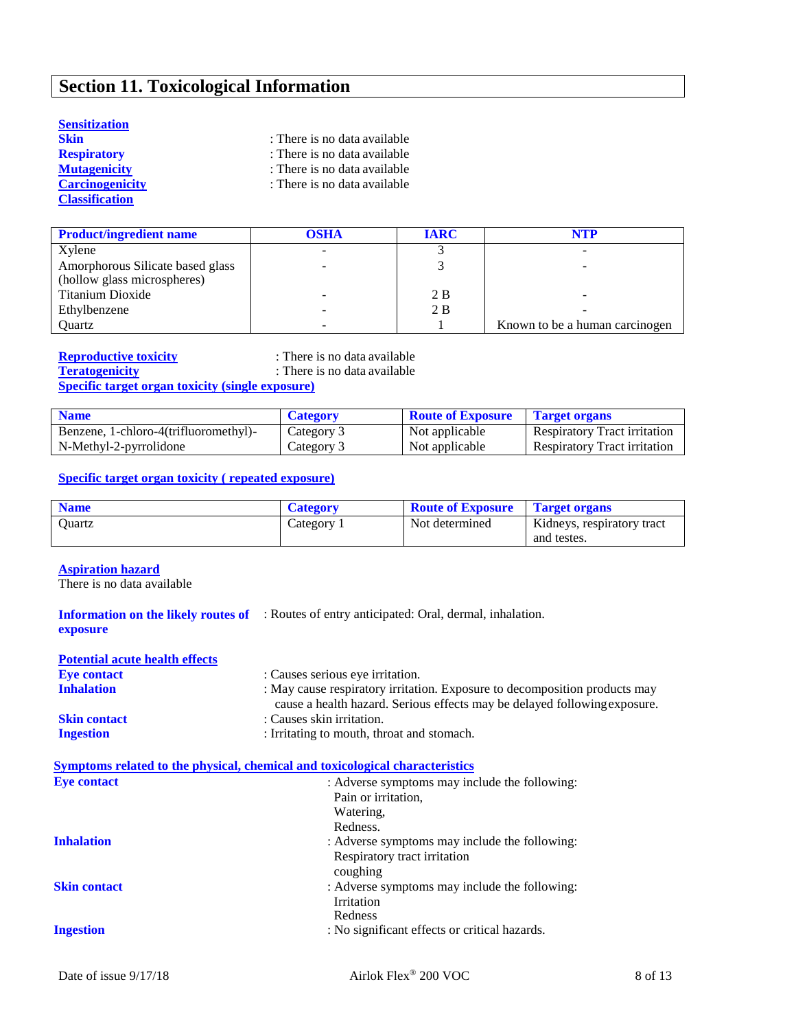# **Section 11. Toxicological Information**

#### **Sensitization**

| Skin                   | : There is no data available |
|------------------------|------------------------------|
| <b>Respiratory</b>     | : There is no data available |
| Mutagenicity           | : There is no data available |
| <b>Carcinogenicity</b> | : There is no data available |
| <b>Classification</b>  |                              |

| <b>Product/ingredient name</b>   | OSHA | <b>IARC</b> | NTP                            |
|----------------------------------|------|-------------|--------------------------------|
| Xylene                           |      |             |                                |
| Amorphorous Silicate based glass |      |             |                                |
| (hollow glass microspheres)      |      |             |                                |
| Titanium Dioxide                 |      | 2 B         |                                |
| Ethylbenzene                     |      | 2B          |                                |
| Ouartz                           |      |             | Known to be a human carcinogen |

**Reproductive toxicity** : There is no data available<br> **There is no data available**<br>
: There is no data available

: There is no data available

**Specific target organ toxicity (single exposure)**

| <b>Name</b>                           | <b>Category</b> | <b>Route of Exposure</b> | <b>Target organs</b>                |
|---------------------------------------|-----------------|--------------------------|-------------------------------------|
| Benzene, 1-chloro-4(trifluoromethyl)- | Category 3      | Not applicable           | <b>Respiratory Tract irritation</b> |
| N-Methyl-2-pyrrolidone                | Category 3      | Not applicable           | <b>Respiratory Tract irritation</b> |

#### **Specific target organ toxicity ( repeated exposure)**

| <b>Name</b> | <b>Category</b> | <b>Route of Exposure</b> | <b>Target organs</b>                      |
|-------------|-----------------|--------------------------|-------------------------------------------|
| Ouartz      | Category        | Not determined           | Kidneys, respiratory tract<br>and testes. |

#### **Aspiration hazard**

There is no data available

|          | <b>Information on the likely routes of</b> : Routes of entry anticipated: Oral, dermal, inhalation. |
|----------|-----------------------------------------------------------------------------------------------------|
| exposure |                                                                                                     |

| <b>Potential acute health effects</b> |                                                                                                                                                         |
|---------------------------------------|---------------------------------------------------------------------------------------------------------------------------------------------------------|
| <b>Eye contact</b>                    | : Causes serious eye irritation.                                                                                                                        |
| <b>Inhalation</b>                     | : May cause respiratory irritation. Exposure to decomposition products may<br>cause a health hazard. Serious effects may be delayed following exposure. |
| <b>Skin contact</b>                   | : Causes skin irritation.                                                                                                                               |
| <b>Ingestion</b>                      | : Irritating to mouth, throat and stomach.                                                                                                              |

### **Symptoms related to the physical, chemical and toxicological characteristics**

| <b>Eye contact</b>  | : Adverse symptoms may include the following: |
|---------------------|-----------------------------------------------|
|                     | Pain or irritation,                           |
|                     | Watering,                                     |
|                     | Redness.                                      |
| <b>Inhalation</b>   | : Adverse symptoms may include the following: |
|                     | Respiratory tract irritation<br>coughing      |
| <b>Skin contact</b> | : Adverse symptoms may include the following: |
|                     | Irritation                                    |
|                     | Redness                                       |
| <b>Ingestion</b>    | : No significant effects or critical hazards. |
|                     |                                               |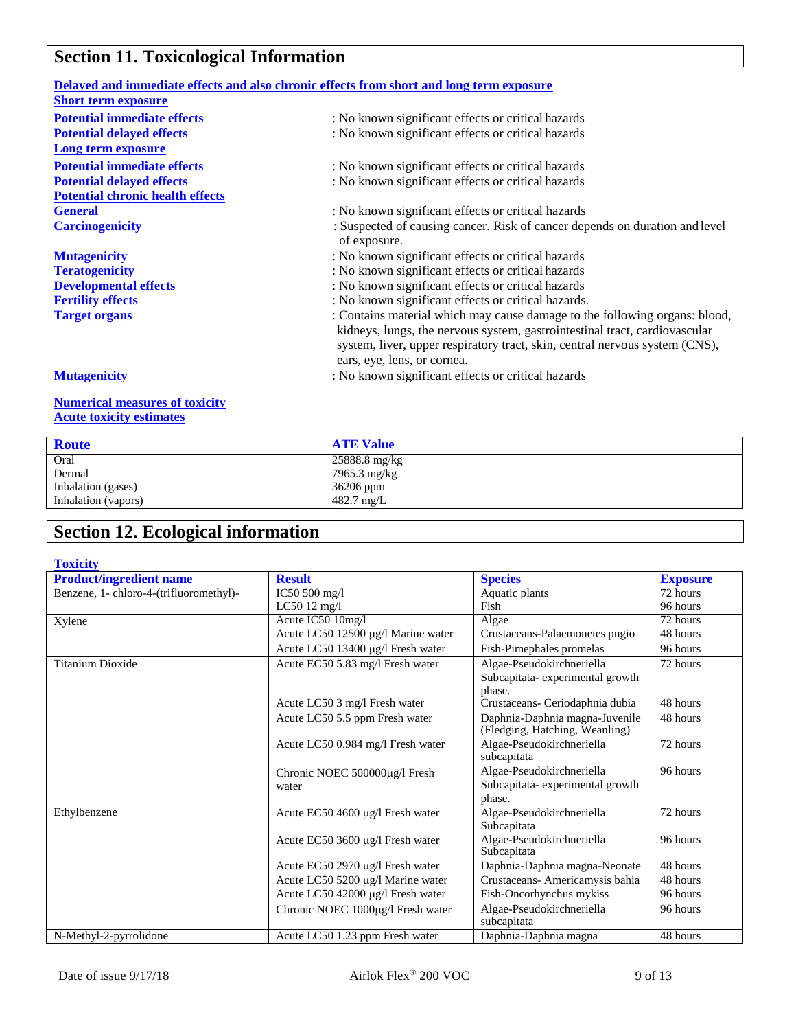# **Section 11. Toxicological Information**

| Delayed and immediate effects and also chronic effects from short and long term exposure |                                                                                                                                                                                                                                                                        |
|------------------------------------------------------------------------------------------|------------------------------------------------------------------------------------------------------------------------------------------------------------------------------------------------------------------------------------------------------------------------|
| <b>Short term exposure</b>                                                               |                                                                                                                                                                                                                                                                        |
| <b>Potential immediate effects</b>                                                       | : No known significant effects or critical hazards                                                                                                                                                                                                                     |
| <b>Potential delayed effects</b>                                                         | : No known significant effects or critical hazards                                                                                                                                                                                                                     |
| <b>Long term exposure</b>                                                                |                                                                                                                                                                                                                                                                        |
| <b>Potential immediate effects</b>                                                       | : No known significant effects or critical hazards                                                                                                                                                                                                                     |
| <b>Potential delayed effects</b>                                                         | : No known significant effects or critical hazards                                                                                                                                                                                                                     |
| <b>Potential chronic health effects</b>                                                  |                                                                                                                                                                                                                                                                        |
| <b>General</b>                                                                           | : No known significant effects or critical hazards                                                                                                                                                                                                                     |
| <b>Carcinogenicity</b>                                                                   | : Suspected of causing cancer. Risk of cancer depends on duration and level<br>of exposure.                                                                                                                                                                            |
| <b>Mutagenicity</b>                                                                      | : No known significant effects or critical hazards                                                                                                                                                                                                                     |
| <b>Teratogenicity</b>                                                                    | : No known significant effects or critical hazards                                                                                                                                                                                                                     |
| <b>Developmental effects</b>                                                             | : No known significant effects or critical hazards                                                                                                                                                                                                                     |
| <b>Fertility effects</b>                                                                 | : No known significant effects or critical hazards.                                                                                                                                                                                                                    |
| <b>Target organs</b>                                                                     | : Contains material which may cause damage to the following organs: blood,<br>kidneys, lungs, the nervous system, gastrointestinal tract, cardiovascular<br>system, liver, upper respiratory tract, skin, central nervous system (CNS),<br>ears, eye, lens, or cornea. |
| <b>Mutagenicity</b>                                                                      | : No known significant effects or critical hazards                                                                                                                                                                                                                     |
| <b>Numerical measures of toxicity</b><br><b>Acute toxicity estimates</b>                 |                                                                                                                                                                                                                                                                        |

| <b>Route</b>        | <b>ATE Value</b>     |
|---------------------|----------------------|
| Oral                | 25888.8 mg/kg        |
| Dermal              | 7965.3 mg/kg         |
| Inhalation (gases)  | 36206 ppm            |
| Inhalation (vapors) | $482.7 \text{ mg/L}$ |
|                     |                      |

# **Section 12. Ecological information**

| <b>Toxicity</b>                         |                                    |                                                                  |                       |
|-----------------------------------------|------------------------------------|------------------------------------------------------------------|-----------------------|
| <b>Product/ingredient name</b>          | <b>Result</b>                      | <b>Species</b>                                                   | <b>Exposure</b>       |
| Benzene, 1- chloro-4-(trifluoromethyl)- | IC50 $500$ mg/l                    | Aquatic plants                                                   | 72 hours              |
|                                         | $LC5012$ mg/l                      | Fish                                                             | 96 hours              |
| Xylene                                  | Acute IC50 10mg/l                  | Algae                                                            | $\overline{72}$ hours |
|                                         | Acute LC50 12500 μg/l Marine water | Crustaceans-Palaemonetes pugio                                   | 48 hours              |
|                                         | Acute LC50 13400 μg/l Fresh water  | Fish-Pimephales promelas                                         | 96 hours              |
| <b>Titanium Dioxide</b>                 | Acute EC50 5.83 mg/l Fresh water   | Algae-Pseudokirchneriella                                        | 72 hours              |
|                                         |                                    | Subcapitata-experimental growth                                  |                       |
|                                         |                                    | phase.                                                           |                       |
|                                         | Acute LC50 3 mg/l Fresh water      | Crustaceans- Ceriodaphnia dubia                                  | 48 hours              |
|                                         | Acute LC50 5.5 ppm Fresh water     | Daphnia-Daphnia magna-Juvenile<br>(Fledging, Hatching, Weanling) | 48 hours              |
|                                         | Acute LC50 0.984 mg/l Fresh water  | Algae-Pseudokirchneriella<br>subcapitata                         | 72 hours              |
|                                         | Chronic NOEC 500000µg/l Fresh      | Algae-Pseudokirchneriella                                        | 96 hours              |
|                                         | water                              | Subcapitata-experimental growth                                  |                       |
|                                         |                                    | phase.                                                           |                       |
| Ethylbenzene                            | Acute EC50 4600 µg/l Fresh water   | Algae-Pseudokirchneriella                                        | 72 hours              |
|                                         |                                    | Subcapitata                                                      |                       |
|                                         | Acute EC50 3600 μg/l Fresh water   | Algae-Pseudokirchneriella<br>Subcapitata                         | 96 hours              |
|                                         | Acute EC50 2970 μg/l Fresh water   | Daphnia-Daphnia magna-Neonate                                    | 48 hours              |
|                                         | Acute LC50 5200 µg/l Marine water  | Crustaceans- Americamysis bahia                                  | 48 hours              |
|                                         | Acute LC50 42000 µg/l Fresh water  | Fish-Oncorhynchus mykiss                                         | 96 hours              |
|                                         | Chronic NOEC 1000µg/l Fresh water  | Algae-Pseudokirchneriella                                        | 96 hours              |
|                                         |                                    | subcapitata                                                      |                       |
| N-Methyl-2-pyrrolidone                  | Acute LC50 1.23 ppm Fresh water    | Daphnia-Daphnia magna                                            | 48 hours              |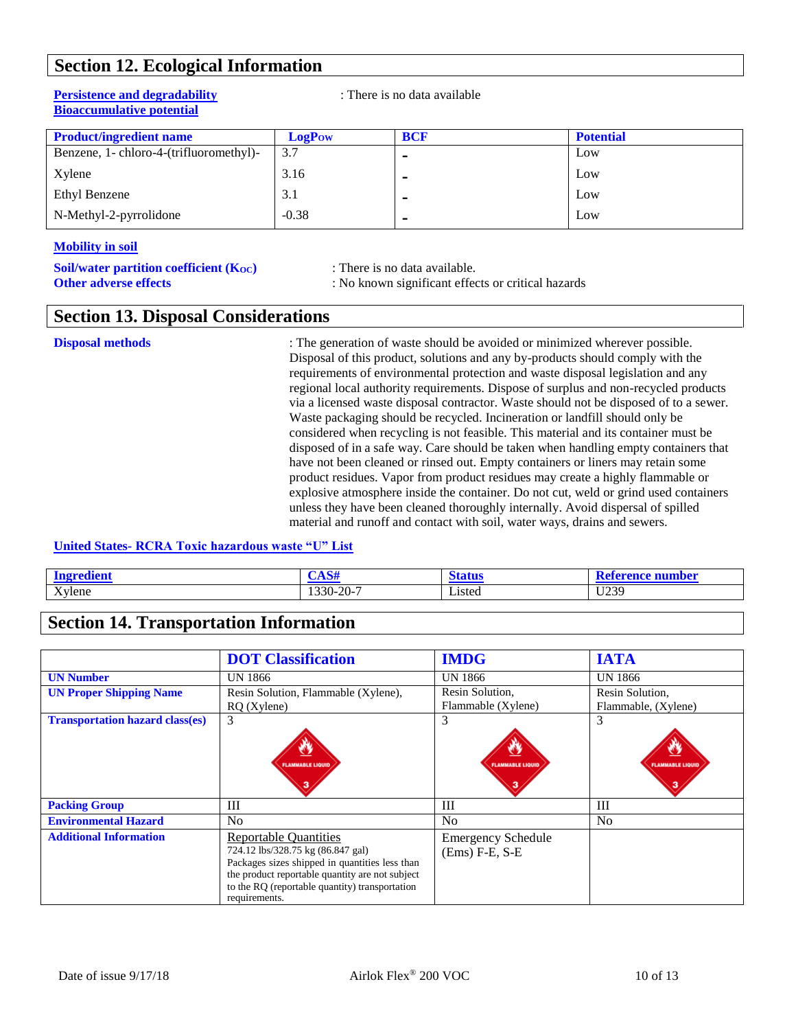### **Section 12. Ecological Information**

#### **Persistence and degradability** : There is no data available **Bioaccumulative potential**

| <b>Product/ingredient name</b>          | <b>LogPow</b> | <b>BCF</b>     | <b>Potential</b> |
|-----------------------------------------|---------------|----------------|------------------|
| Benzene, 1- chloro-4-(trifluoromethyl)- | 3.7           | ۰              | Low              |
| Xylene                                  | 3.16          | ۰              | Low              |
| Ethyl Benzene                           | 3.1           |                | Low              |
| N-Methyl-2-pyrrolidone                  | $-0.38$       | $\blacksquare$ | Low              |

#### **Mobility in soil**

| Soil/water partition coefficient (Koc) |  |  |
|----------------------------------------|--|--|
| <b>Other adverse effects</b>           |  |  |

**Solution contains** *c***ondata available.** 

**Other adverse effects** : No known significant effects or critical hazards

### **Section 13. Disposal Considerations**

**Disposal methods** : The generation of waste should be avoided or minimized wherever possible. Disposal of this product, solutions and any by-products should comply with the requirements of environmental protection and waste disposal legislation and any regional local authority requirements. Dispose of surplus and non-recycled products via a licensed waste disposal contractor. Waste should not be disposed of to a sewer. Waste packaging should be recycled. Incineration or landfill should only be considered when recycling is not feasible. This material and its container must be disposed of in a safe way. Care should be taken when handling empty containers that have not been cleaned or rinsed out. Empty containers or liners may retain some product residues. Vapor from product residues may create a highly flammable or explosive atmosphere inside the container. Do not cut, weld or grind used containers unless they have been cleaned thoroughly internally. Avoid dispersal of spilled material and runoff and contact with soil, water ways, drains and sewers.

#### **United States- RCRA Toxic hazardous waste "U" List**

| $\sim$<br>Ωø           | $\sim$ $\sim$                                                |                         | ıber                 |
|------------------------|--------------------------------------------------------------|-------------------------|----------------------|
| $\mathbf{v}$<br>Xylene | $. \cap$ $\cap$ $\sim$<br>$1330 -$<br>$\mathbf{I}$<br>$\sim$ | $\mathbf{v}$<br>∟isted⊣ | 11230<br><u> UZJ</u> |

### **Section 14. Transportation Information**

|                                        | <b>DOT</b> Classification                                                                                                                                                                                                                 | <b>IMDG</b>                                   | <b>IATA</b>             |
|----------------------------------------|-------------------------------------------------------------------------------------------------------------------------------------------------------------------------------------------------------------------------------------------|-----------------------------------------------|-------------------------|
| <b>UN Number</b>                       | UN 1866                                                                                                                                                                                                                                   | UN 1866                                       | UN 1866                 |
| <b>UN Proper Shipping Name</b>         | Resin Solution, Flammable (Xylene),                                                                                                                                                                                                       | Resin Solution,                               | Resin Solution,         |
|                                        | $RQ$ (Xylene)                                                                                                                                                                                                                             | Flammable (Xylene)                            | Flammable, (Xylene)     |
| <b>Transportation hazard class(es)</b> | 3                                                                                                                                                                                                                                         | 3                                             | 3                       |
|                                        | O<br><b>FLAMMABLE LIQUID</b><br>з                                                                                                                                                                                                         | Ø<br><b>FLAMMABLE LIQUID</b>                  | <b>FLAMMABLE LIQUID</b> |
| <b>Packing Group</b>                   | Ш                                                                                                                                                                                                                                         | Ш                                             | III                     |
| <b>Environmental Hazard</b>            | N <sub>0</sub>                                                                                                                                                                                                                            | No                                            | No                      |
| <b>Additional Information</b>          | <b>Reportable Quantities</b><br>724.12 lbs/328.75 kg (86.847 gal)<br>Packages sizes shipped in quantities less than<br>the product reportable quantity are not subject<br>to the RQ (reportable quantity) transportation<br>requirements. | <b>Emergency Schedule</b><br>$(Ems) F-E, S-E$ |                         |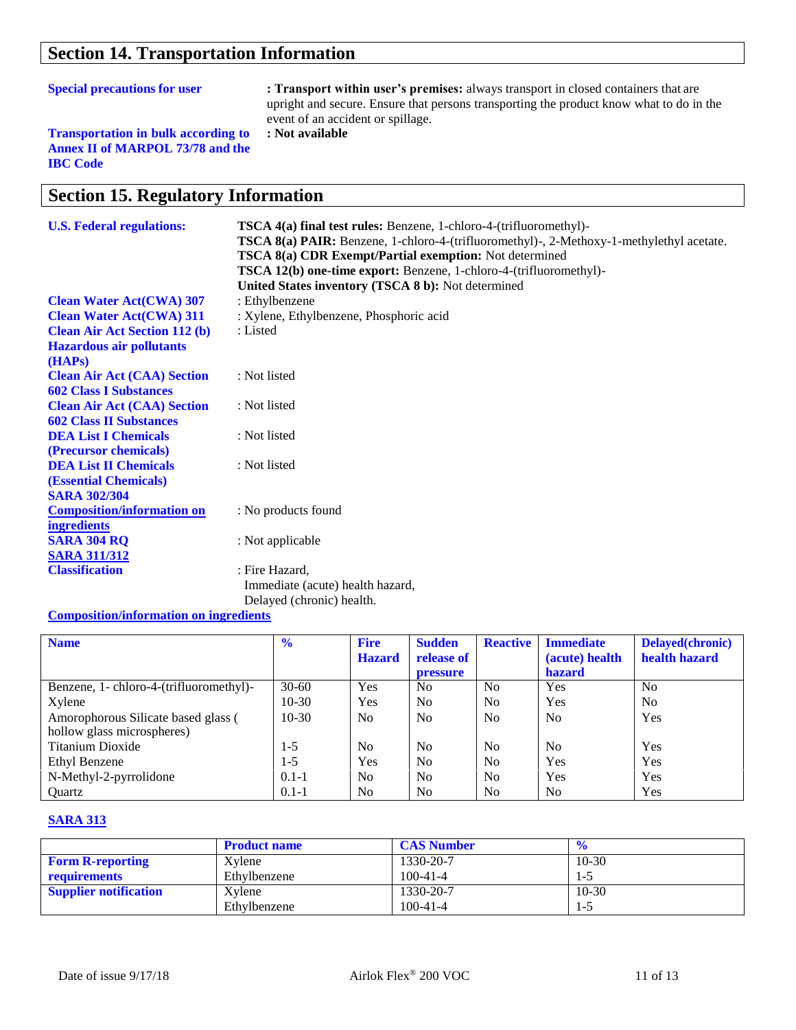### **Section 14. Transportation Information**

| <b>Special precautions for user</b><br>: Transport within user's premises: always transport in closed containers that are<br>upright and secure. Ensure that persons transporting the product know what to do in the<br>event of an accident or spillage.<br>: Not available<br><b>Transportation in bulk according to</b><br><b>Annex II of MARPOL 73/78 and the</b><br><b>IBC</b> Code |                                                                                                                                                                                                                                                                                                                                                                           |
|------------------------------------------------------------------------------------------------------------------------------------------------------------------------------------------------------------------------------------------------------------------------------------------------------------------------------------------------------------------------------------------|---------------------------------------------------------------------------------------------------------------------------------------------------------------------------------------------------------------------------------------------------------------------------------------------------------------------------------------------------------------------------|
| <b>Section 15. Regulatory Information</b>                                                                                                                                                                                                                                                                                                                                                |                                                                                                                                                                                                                                                                                                                                                                           |
| <b>U.S. Federal regulations:</b>                                                                                                                                                                                                                                                                                                                                                         | <b>TSCA 4(a) final test rules:</b> Benzene, 1-chloro-4-(trifluoromethyl)-<br>TSCA 8(a) PAIR: Benzene, 1-chloro-4-(trifluoromethyl)-, 2-Methoxy-1-methylethyl acetate.<br><b>TSCA 8(a) CDR Exempt/Partial exemption:</b> Not determined<br><b>TSCA 12(b) one-time export:</b> Benzene, 1-chloro-4-(trifluoromethyl)-<br>United States inventory (TSCA 8 b): Not determined |

**Clean Water Act(CWA) 307** : Ethylbenzene **Clean Water Act(CWA) 311** : Xylene, Ethylbenzene, Phosphoric acid **Clean Air Act Section 112 (b) Hazardous air pollutants (HAPs) Clean Air Act (CAA) Section 602 Class I Substances Clean Air Act (CAA) Section 602 Class II Substances DEA List I Chemicals (Precursor chemicals) DEA List II Chemicals (Essential Chemicals) SARA 302/304 Composition/information on ingredients** : Listed : Not listed : Not listed : Not listed : Not listed : No products found **SARA 304 RQ** : Not applicable **SARA 311/312 Classification** : Fire Hazard, Immediate (acute) health hazard, Delayed (chronic) health.

#### **Composition/information on ingredients**

| <b>Name</b>                                                       | $\frac{6}{6}$ | <b>Fire</b><br><b>Hazard</b> | <b>Sudden</b><br>release of<br><b>pressure</b> | <b>Reactive</b> | <b>Immediate</b><br>(acute) health<br><b>hazard</b> | Delayed(chronic)<br>health hazard |
|-------------------------------------------------------------------|---------------|------------------------------|------------------------------------------------|-----------------|-----------------------------------------------------|-----------------------------------|
| Benzene, 1- chloro-4-(trifluoromethyl)-                           | $30 - 60$     | Yes                          | N <sub>0</sub>                                 | N <sub>0</sub>  | Yes                                                 | N <sub>0</sub>                    |
| Xylene                                                            | $10-30$       | Yes                          | N <sub>0</sub>                                 | N <sub>0</sub>  | Yes                                                 | N <sub>0</sub>                    |
| Amorophorous Silicate based glass (<br>hollow glass microspheres) | $10-30$       | No.                          | N <sub>0</sub>                                 | No              | N <sub>0</sub>                                      | Yes                               |
| Titanium Dioxide                                                  | 1-5           | N <sub>0</sub>               | N <sub>0</sub>                                 | No              | N <sub>0</sub>                                      | Yes                               |
| Ethyl Benzene                                                     | 1-5           | Yes                          | N <sub>0</sub>                                 | No              | Yes                                                 | Yes                               |
| N-Methyl-2-pyrrolidone                                            | $0.1 - 1$     | N <sub>0</sub>               | N <sub>0</sub>                                 | No              | Yes                                                 | Yes                               |
| Ouartz                                                            | $0.1 - 1$     | No.                          | N <sub>0</sub>                                 | N <sub>0</sub>  | N <sub>0</sub>                                      | Yes                               |

#### **SARA 313**

|                              | <b>Product name</b> | <b>CAS Number</b> |         |
|------------------------------|---------------------|-------------------|---------|
| <b>Form R-reporting</b>      | Xylene              | 1330-20-7         | $10-30$ |
| requirements                 | Ethylbenzene        | $100 - 41 - 4$    |         |
| <b>Supplier notification</b> | Xylene              | 1330-20-7         | $10-30$ |
|                              | Ethylbenzene        | $100 - 41 - 4$    | 1-5     |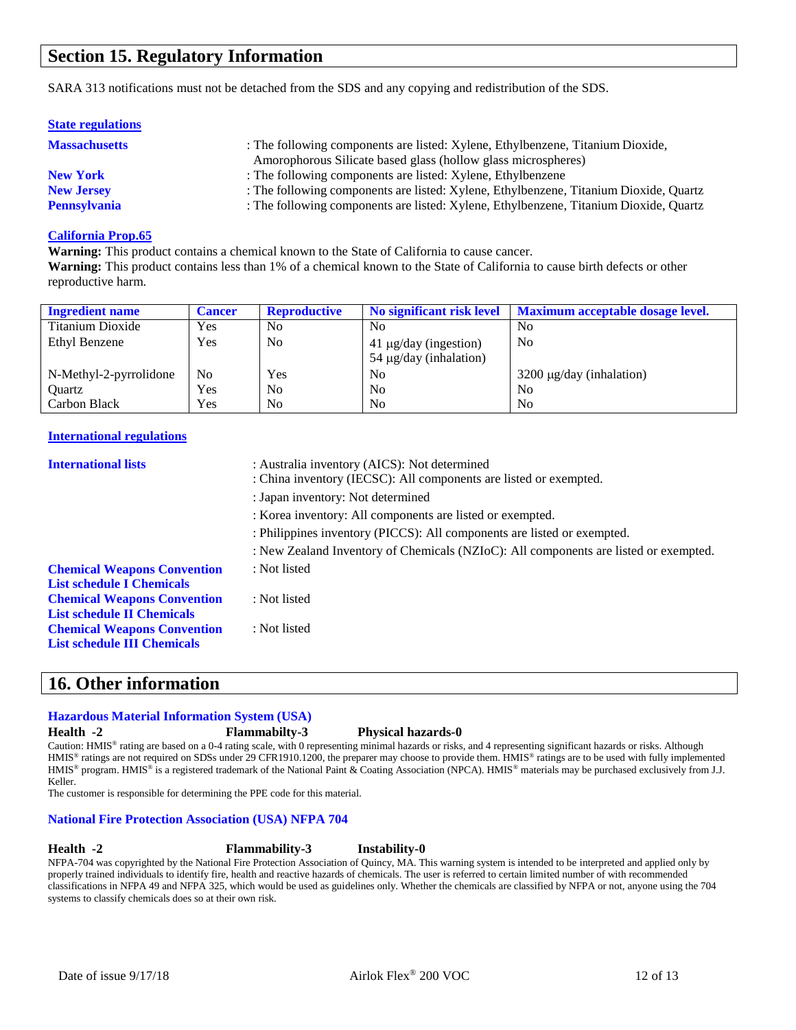### **Section 15. Regulatory Information**

SARA 313 notifications must not be detached from the SDS and any copying and redistribution of the SDS.

| <b>State regulations</b> |                                                                                                                                                 |
|--------------------------|-------------------------------------------------------------------------------------------------------------------------------------------------|
| <b>Massachusetts</b>     | : The following components are listed: Xylene, Ethylbenzene, Titanium Dioxide,<br>Amorophorous Silicate based glass (hollow glass microspheres) |
| <b>New York</b>          | : The following components are listed: Xylene, Ethylbenzene                                                                                     |
| <b>New Jersey</b>        | : The following components are listed: Xylene, Ethylbenzene, Titanium Dioxide, Quartz                                                           |
| <b>Pennsylvania</b>      | : The following components are listed: Xylene, Ethylbenzene, Titanium Dioxide, Quartz                                                           |

#### **California Prop.65**

**Warning:** This product contains a chemical known to the State of California to cause cancer. **Warning:** This product contains less than 1% of a chemical known to the State of California to cause birth defects or other reproductive harm.

| <b>Ingredient name</b> | <b>Cancer</b> | <b>Reproductive</b> | No significant risk level                                 | <b>Maximum acceptable dosage level.</b> |
|------------------------|---------------|---------------------|-----------------------------------------------------------|-----------------------------------------|
| Titanium Dioxide       | Yes           | N <sub>0</sub>      | N <sub>0</sub>                                            | No                                      |
| Ethyl Benzene          | Yes           | No                  | $41 \mu g/day$ (ingestion)<br>$54 \mu g/day$ (inhalation) | N <sub>0</sub>                          |
| N-Methyl-2-pyrrolidone | No            | Yes                 | N <sub>0</sub>                                            | $3200 \mu g/day$ (inhalation)           |
| Ouartz                 | Yes           | N <sub>0</sub>      | N <sub>0</sub>                                            | N <sub>0</sub>                          |
| Carbon Black           | Yes           | N <sub>0</sub>      | N <sub>0</sub>                                            | N <sub>0</sub>                          |

#### **International regulations**

| <b>International lists</b>         | : Australia inventory (AICS): Not determined<br>: China inventory (IECSC): All components are listed or exempted. |  |  |
|------------------------------------|-------------------------------------------------------------------------------------------------------------------|--|--|
|                                    | : Japan inventory: Not determined                                                                                 |  |  |
|                                    | : Korea inventory: All components are listed or exempted.                                                         |  |  |
|                                    | : Philippines inventory (PICCS): All components are listed or exempted.                                           |  |  |
|                                    | : New Zealand Inventory of Chemicals (NZIoC): All components are listed or exempted.                              |  |  |
| <b>Chemical Weapons Convention</b> | : Not listed                                                                                                      |  |  |
| <b>List schedule I Chemicals</b>   |                                                                                                                   |  |  |
| <b>Chemical Weapons Convention</b> | : Not listed                                                                                                      |  |  |
| <b>List schedule II Chemicals</b>  |                                                                                                                   |  |  |
| <b>Chemical Weapons Convention</b> | : Not listed                                                                                                      |  |  |
| <b>List schedule III Chemicals</b> |                                                                                                                   |  |  |

### **16. Other information**

#### **Hazardous Material Information System (USA)**

**Health -2 Flammabilty-3 Physical hazards-0**

Caution: HMIS<sup>®</sup> rating are based on a 0-4 rating scale, with 0 representing minimal hazards or risks, and 4 representing significant hazards or risks. Although HMIS<sup>®</sup> ratings are not required on SDSs under 29 CFR1910.1200, the preparer may choose to provide them. HMIS® ratings are to be used with fully implemented HMIS® program. HMIS® is a registered trademark of the National Paint & Coating Association (NPCA). HMIS® materials may be purchased exclusively from J.J. Keller.

The customer is responsible for determining the PPE code for this material.

#### **National Fire Protection Association (USA) NFPA 704**

**Health -2 Flammability-3 Instability-0**

NFPA-704 was copyrighted by the National Fire Protection Association of Quincy, MA. This warning system is intended to be interpreted and applied only by properly trained individuals to identify fire, health and reactive hazards of chemicals. The user is referred to certain limited number of with recommended classifications in NFPA 49 and NFPA 325, which would be used as guidelines only. Whether the chemicals are classified by NFPA or not, anyone using the 704 systems to classify chemicals does so at their own risk.